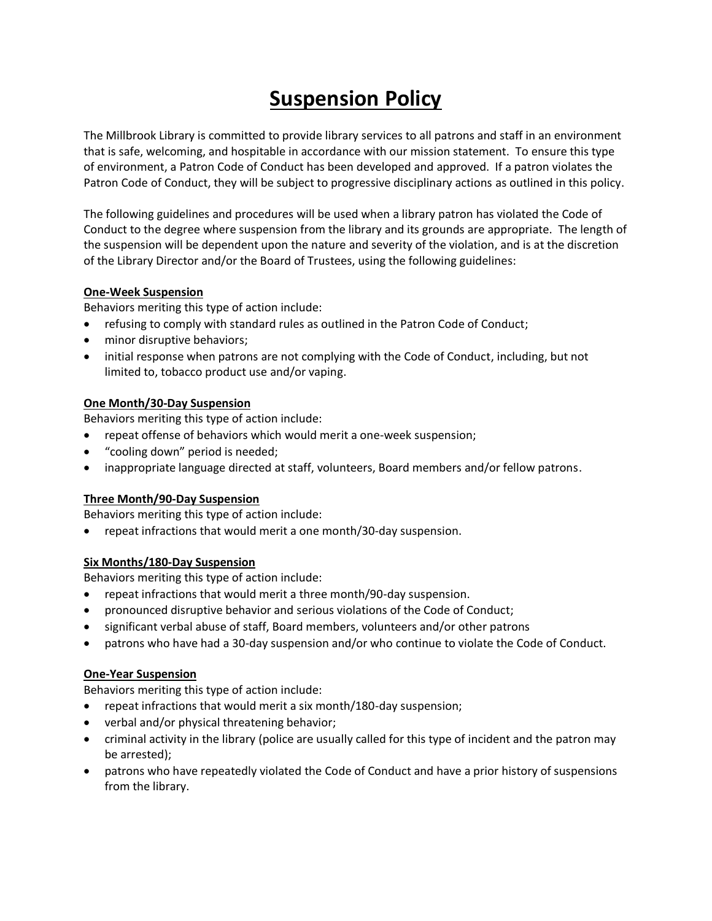# **Suspension Policy**

The Millbrook Library is committed to provide library services to all patrons and staff in an environment that is safe, welcoming, and hospitable in accordance with our mission statement. To ensure this type of environment, a Patron Code of Conduct has been developed and approved. If a patron violates the Patron Code of Conduct, they will be subject to progressive disciplinary actions as outlined in this policy.

The following guidelines and procedures will be used when a library patron has violated the Code of Conduct to the degree where suspension from the library and its grounds are appropriate. The length of the suspension will be dependent upon the nature and severity of the violation, and is at the discretion of the Library Director and/or the Board of Trustees, using the following guidelines:

## **One-Week Suspension**

Behaviors meriting this type of action include:

- refusing to comply with standard rules as outlined in the Patron Code of Conduct;
- minor disruptive behaviors;
- initial response when patrons are not complying with the Code of Conduct, including, but not limited to, tobacco product use and/or vaping.

## **One Month/30-Day Suspension**

Behaviors meriting this type of action include:

- repeat offense of behaviors which would merit a one-week suspension;
- "cooling down" period is needed;
- inappropriate language directed at staff, volunteers, Board members and/or fellow patrons.

## **Three Month/90-Day Suspension**

Behaviors meriting this type of action include:

repeat infractions that would merit a one month/30-day suspension.

## **Six Months/180-Day Suspension**

Behaviors meriting this type of action include:

- repeat infractions that would merit a three month/90-day suspension.
- pronounced disruptive behavior and serious violations of the Code of Conduct;
- significant verbal abuse of staff, Board members, volunteers and/or other patrons
- patrons who have had a 30-day suspension and/or who continue to violate the Code of Conduct.

## **One-Year Suspension**

Behaviors meriting this type of action include:

- repeat infractions that would merit a six month/180-day suspension;
- verbal and/or physical threatening behavior;
- criminal activity in the library (police are usually called for this type of incident and the patron may be arrested);
- patrons who have repeatedly violated the Code of Conduct and have a prior history of suspensions from the library.